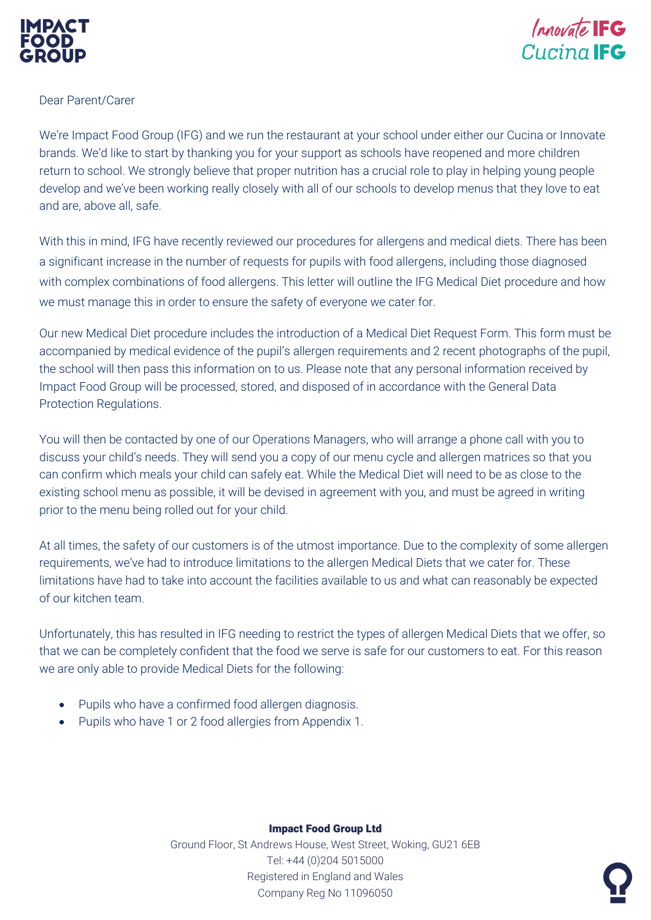



## Dear Parent/Carer

We're Impact Food Group (IFG) and we run the restaurant at your school under either our Cucina or Innovate brands. We'd like to start by thanking you for your support as schools have reopened and more children return to school. We strongly believe that proper nutrition has a crucial role to play in helping young people develop and we've been working really closely with all of our schools to develop menus that they love to eat and are, above all, safe.

With this in mind, IFG have recently reviewed our procedures for allergens and medical diets. There has been a significant increase in the number of requests for pupils with food allergens, including those diagnosed with complex combinations of food allergens. This letter will outline the IFG Medical Diet procedure and how we must manage this in order to ensure the safety of everyone we cater for.

Our new Medical Diet procedure includes the introduction of a Medical Diet Request Form. This form must be accompanied by medical evidence of the pupil's allergen requirements and 2 recent photographs of the pupil, the school will then pass this information on to us. Please note that any personal information received by Impact Food Group will be processed, stored, and disposed of in accordance with the General Data Protection Regulations.

You will then be contacted by one of our Operations Managers, who will arrange a phone call with you to discuss your child's needs. They will send you a copy of our menu cycle and allergen matrices so that you can confirm which meals your child can safely eat. While the Medical Diet will need to be as close to the existing school menu as possible, it will be devised in agreement with you, and must be agreed in writing prior to the menu being rolled out for your child.

At all times, the safety of our customers is of the utmost importance. Due to the complexity of some allergen requirements, we've had to introduce limitations to the allergen Medical Diets that we cater for. These limitations have had to take into account the facilities available to us and what can reasonably be expected of our kitchen team.

Unfortunately, this has resulted in IFG needing to restrict the types of allergen Medical Diets that we offer, so that we can be completely confident that the food we serve is safe for our customers to eat. For this reason we are only able to provide Medical Diets for the following:

- Pupils who have a confirmed food allergen diagnosis.
- Pupils who have 1 or 2 food allergies from Appendix 1.

## Impact Food Group Ltd

Ground Floor, St Andrews House, West Street, Woking, GU21 6EB Tel: +44 (0)204 5015000 Registered in England and Wales Company Reg No 11096050